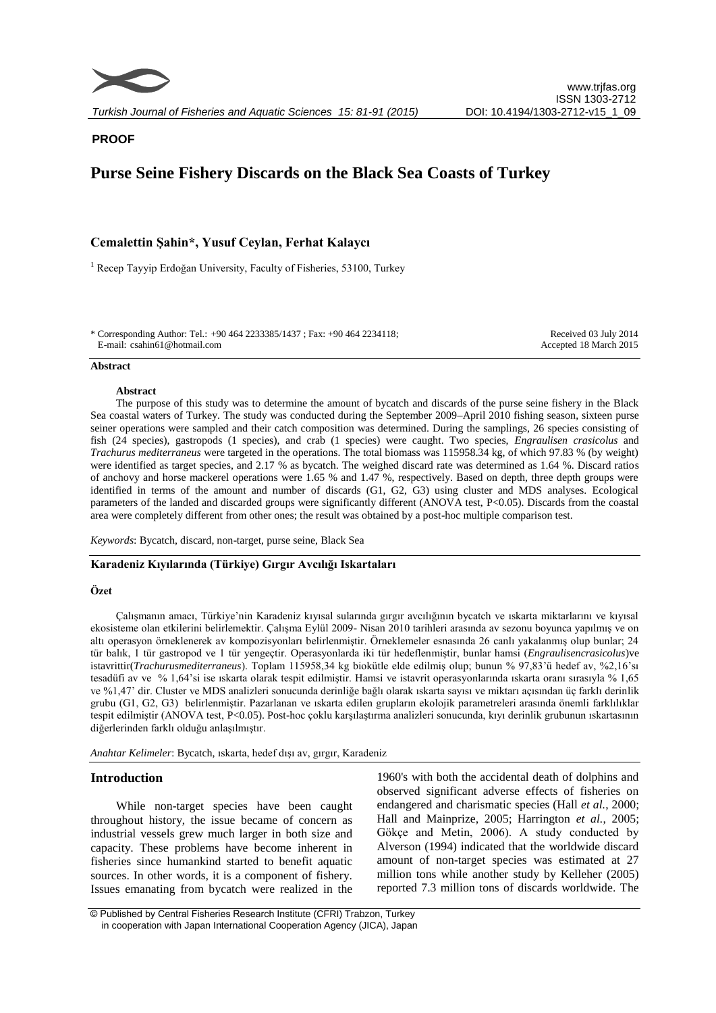

**PROOF**

# **Purse Seine Fishery Discards on the Black Sea Coasts of Turkey**

## **Cemalettin Şahin\*, Yusuf Ceylan, Ferhat Kalaycı**

<sup>1</sup> Recep Tayyip Erdoğan University, Faculty of Fisheries, 53100, Turkey

\* Corresponding Author: Tel.: +90 464 2233385/1437 ; Fax: +90 464 2234118; E-mail: csahin61@hotmail.com

Received 03 July 2014 Accepted 18 March 2015

#### **Abstract**

#### **Abstract**

The purpose of this study was to determine the amount of bycatch and discards of the purse seine fishery in the Black Sea coastal waters of Turkey. The study was conducted during the September 2009–April 2010 fishing season, sixteen purse seiner operations were sampled and their catch composition was determined. During the samplings, 26 species consisting of fish (24 species), gastropods (1 species), and crab (1 species) were caught. Two species, *Engraulisen crasicolus* and *Trachurus mediterraneus* were targeted in the operations. The total biomass was 115958.34 kg, of which 97.83 % (by weight) were identified as target species, and 2.17 % as bycatch. The weighed discard rate was determined as 1.64 %. Discard ratios of anchovy and horse mackerel operations were 1.65 % and 1.47 %, respectively. Based on depth, three depth groups were identified in terms of the amount and number of discards (G1, G2, G3) using cluster and MDS analyses. Ecological parameters of the landed and discarded groups were significantly different (ANOVA test, P<0.05). Discards from the coastal area were completely different from other ones; the result was obtained by a post-hoc multiple comparison test.

*Keywords*: Bycatch, discard, non-target, purse seine, Black Sea

## **Karadeniz Kıyılarında (Türkiye) Gırgır Avcılığı Iskartaları**

#### **Özet**

Çalışmanın amacı, Türkiye'nin Karadeniz kıyısal sularında gırgır avcılığının bycatch ve ıskarta miktarlarını ve kıyısal ekosisteme olan etkilerini belirlemektir. Çalışma Eylül 2009- Nisan 2010 tarihleri arasında av sezonu boyunca yapılmış ve on altı operasyon örneklenerek av kompozisyonları belirlenmiştir. Örneklemeler esnasında 26 canlı yakalanmış olup bunlar; 24 tür balık, 1 tür gastropod ve 1 tür yengeçtir. Operasyonlarda iki tür hedeflenmiştir, bunlar hamsi (*Engraulisencrasicolus*)ve istavrittir(*Trachurusmediterraneus*). Toplam 115958,34 kg biokütle elde edilmiş olup; bunun % 97,83'ü hedef av, %2,16'sı tesadüfi av ve % 1,64'si ise ıskarta olarak tespit edilmiştir. Hamsi ve istavrit operasyonlarında ıskarta oranı sırasıyla % 1,65 ve %1,47' dir. Cluster ve MDS analizleri sonucunda derinliğe bağlı olarak ıskarta sayısı ve miktarı açısından üç farklı derinlik grubu (G1, G2, G3) belirlenmiştir. Pazarlanan ve ıskarta edilen grupların ekolojik parametreleri arasında önemli farklılıklar tespit edilmiştir (ANOVA test, P<0.05). Post-hoc çoklu karşılaştırma analizleri sonucunda, kıyı derinlik grubunun ıskartasının diğerlerinden farklı olduğu anlaşılmıştır.

*Anahtar Kelimeler*: Bycatch, ıskarta, hedef dışı av, gırgır, Karadeniz

#### **Introduction**

While non-target species have been caught throughout history, the issue became of concern as industrial vessels grew much larger in both size and capacity. These problems have become inherent in fisheries since humankind started to benefit aquatic sources. In other words, it is a component of fishery. Issues emanating from bycatch were realized in the

1960's with both the accidental death of dolphins and observed significant adverse effects of fisheries on endangered and charismatic species (Hall *et al.*, 2000; Hall and Mainprize, 2005; Harrington *et al.*, 2005; Gökçe and Metin, 2006). A study conducted by Alverson (1994) indicated that the worldwide discard amount of non-target species was estimated at 27 million tons while another study by Kelleher (2005) reported 7.3 million tons of discards worldwide. The

© Published by Central Fisheries Research Institute (CFRI) Trabzon, Turkey in cooperation with Japan International Cooperation Agency (JICA), Japan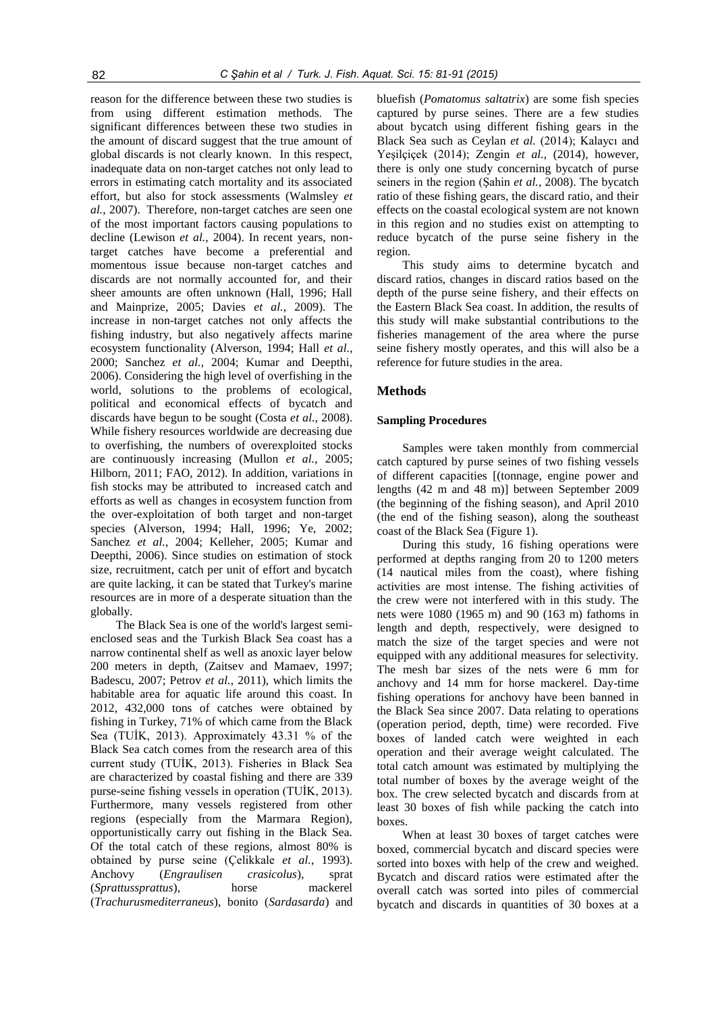reason for the difference between these two studies is from using different estimation methods. The significant differences between these two studies in the amount of discard suggest that the true amount of global discards is not clearly known. In this respect, inadequate data on non-target catches not only lead to errors in estimating catch mortality and its associated effort, but also for stock assessments (Walmsley *et al.*, 2007). Therefore, non-target catches are seen one of the most important factors causing populations to decline (Lewison *et al.*, 2004). In recent years, nontarget catches have become a preferential and momentous issue because non-target catches and discards are not normally accounted for, and their sheer amounts are often unknown (Hall, 1996; Hall and Mainprize, 2005; Davies *et al.*, 2009). The increase in non-target catches not only affects the fishing industry, but also negatively affects marine ecosystem functionality (Alverson, 1994; Hall *et al.*, 2000; Sanchez *et al.*, 2004; Kumar and Deepthi, 2006). Considering the high level of overfishing in the world, solutions to the problems of ecological, political and economical effects of bycatch and discards have begun to be sought (Costa *et al.*, 2008). While fishery resources worldwide are decreasing due to overfishing, the numbers of overexploited stocks are continuously increasing (Mullon *et al.*, 2005; Hilborn, 2011; FAO, 2012). In addition, variations in fish stocks may be attributed to increased catch and efforts as well as changes in ecosystem function from the over-exploitation of both target and non-target species (Alverson, 1994; Hall, 1996; Ye, 2002; Sanchez *et al.*, 2004; Kelleher, 2005; Kumar and Deepthi, 2006). Since studies on estimation of stock size, recruitment, catch per unit of effort and bycatch are quite lacking, it can be stated that Turkey's marine resources are in more of a desperate situation than the globally.

The Black Sea is one of the world's largest semienclosed seas and the Turkish Black Sea coast has a narrow continental shelf as well as anoxic layer below 200 meters in depth, (Zaitsev and Mamaev, 1997; Badescu, 2007; Petrov *et al.*, 2011), which limits the habitable area for aquatic life around this coast. In 2012, 432,000 tons of catches were obtained by fishing in Turkey, 71% of which came from the Black Sea (TUİK, 2013). Approximately 43.31 % of the Black Sea catch comes from the research area of this current study (TUİK, 2013). Fisheries in Black Sea are characterized by coastal fishing and there are 339 purse-seine fishing vessels in operation (TUİK, 2013). Furthermore, many vessels registered from other regions (especially from the Marmara Region), opportunistically carry out fishing in the Black Sea. Of the total catch of these regions, almost 80% is obtained by purse seine (Çelikkale *et al.*, 1993). Anchovy (*Engraulisen crasicolus*), sprat (*Sprattussprattus*), horse mackerel (*Trachurusmediterraneus*), bonito (*Sardasarda*) and

bluefish (*Pomatomus saltatrix*) are some fish species captured by purse seines. There are a few studies about bycatch using different fishing gears in the Black Sea such as Ceylan *et al.* (2014); Kalaycı and Yeşilçiçek (2014); Zengin *et al.*, (2014), however, there is only one study concerning bycatch of purse seiners in the region (Şahin *et al.*, 2008). The bycatch ratio of these fishing gears, the discard ratio, and their effects on the coastal ecological system are not known in this region and no studies exist on attempting to reduce bycatch of the purse seine fishery in the region.

This study aims to determine bycatch and discard ratios, changes in discard ratios based on the depth of the purse seine fishery, and their effects on the Eastern Black Sea coast. In addition, the results of this study will make substantial contributions to the fisheries management of the area where the purse seine fishery mostly operates, and this will also be a reference for future studies in the area.

#### **Methods**

#### **Sampling Procedures**

Samples were taken monthly from commercial catch captured by purse seines of two fishing vessels of different capacities [(tonnage, engine power and lengths (42 m and 48 m)] between September 2009 (the beginning of the fishing season), and April 2010 (the end of the fishing season), along the southeast coast of the Black Sea (Figure 1).

During this study, 16 fishing operations were performed at depths ranging from 20 to 1200 meters (14 nautical miles from the coast), where fishing activities are most intense. The fishing activities of the crew were not interfered with in this study. The nets were 1080 (1965 m) and 90 (163 m) fathoms in length and depth, respectively, were designed to match the size of the target species and were not equipped with any additional measures for selectivity. The mesh bar sizes of the nets were 6 mm for anchovy and 14 mm for horse mackerel. Day-time fishing operations for anchovy have been banned in the Black Sea since 2007. Data relating to operations (operation period, depth, time) were recorded. Five boxes of landed catch were weighted in each operation and their average weight calculated. The total catch amount was estimated by multiplying the total number of boxes by the average weight of the box. The crew selected bycatch and discards from at least 30 boxes of fish while packing the catch into boxes.

When at least 30 boxes of target catches were boxed, commercial bycatch and discard species were sorted into boxes with help of the crew and weighed. Bycatch and discard ratios were estimated after the overall catch was sorted into piles of commercial bycatch and discards in quantities of 30 boxes at a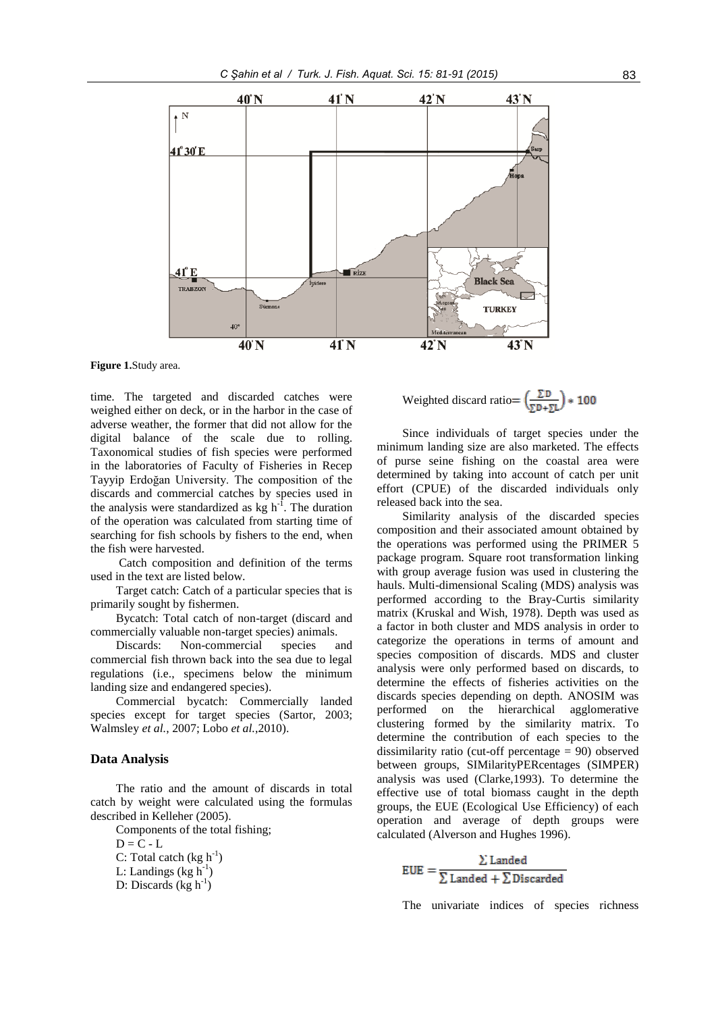

**Figure 1.**Study area.

time. The targeted and discarded catches were weighed either on deck, or in the harbor in the case of adverse weather, the former that did not allow for the digital balance of the scale due to rolling. Taxonomical studies of fish species were performed in the laboratories of Faculty of Fisheries in Recep Tayyip Erdoğan University. The composition of the discards and commercial catches by species used in the analysis were standardized as  $\text{kg h}^{-1}$ . The duration of the operation was calculated from starting time of searching for fish schools by fishers to the end, when the fish were harvested.

Catch composition and definition of the terms used in the text are listed below.

Target catch: Catch of a particular species that is primarily sought by fishermen.

Bycatch: Total catch of non-target (discard and commercially valuable non-target species) animals.

Discards: Non-commercial species and commercial fish thrown back into the sea due to legal regulations (i.e., specimens below the minimum landing size and endangered species).

Commercial bycatch: Commercially landed species except for target species (Sartor, 2003; Walmsley *et al.*, 2007; Lobo *et al.*,2010).

# **Data Analysis**

The ratio and the amount of discards in total catch by weight were calculated using the formulas described in Kelleher (2005).

Components of the total fishing;

 $D = C - L$ C: Total catch  $(\text{kg h}^{-1})$ L: Landings  $(\text{kg h}^{-1})$ 

D: Discards  $(kg h<sup>-1</sup>)$ 

Weighted discard ratio =  $\left(\frac{\Sigma \text{D}}{\Sigma \text{D} + \Sigma I}\right) * 100$ 

Since individuals of target species under the minimum landing size are also marketed. The effects of purse seine fishing on the coastal area were determined by taking into account of catch per unit effort (CPUE) of the discarded individuals only released back into the sea.

Similarity analysis of the discarded species composition and their associated amount obtained by the operations was performed using the PRIMER 5 package program. Square root transformation linking with group average fusion was used in clustering the hauls. Multi-dimensional Scaling (MDS) analysis was performed according to the Bray-Curtis similarity matrix (Kruskal and Wish, 1978). Depth was used as a factor in both cluster and MDS analysis in order to categorize the operations in terms of amount and species composition of discards. MDS and cluster analysis were only performed based on discards, to determine the effects of fisheries activities on the discards species depending on depth. ANOSIM was performed on the hierarchical agglomerative clustering formed by the similarity matrix. To determine the contribution of each species to the dissimilarity ratio (cut-off percentage = 90) observed between groups, SIMilarityPERcentages (SIMPER) analysis was used (Clarke,1993). To determine the effective use of total biomass caught in the depth groups, the EUE (Ecological Use Efficiency) of each operation and average of depth groups were calculated (Alverson and Hughes 1996).

$$
EUE = \frac{\sum Landed}{\sum Landed + \sum Discarded}
$$

The univariate indices of species richness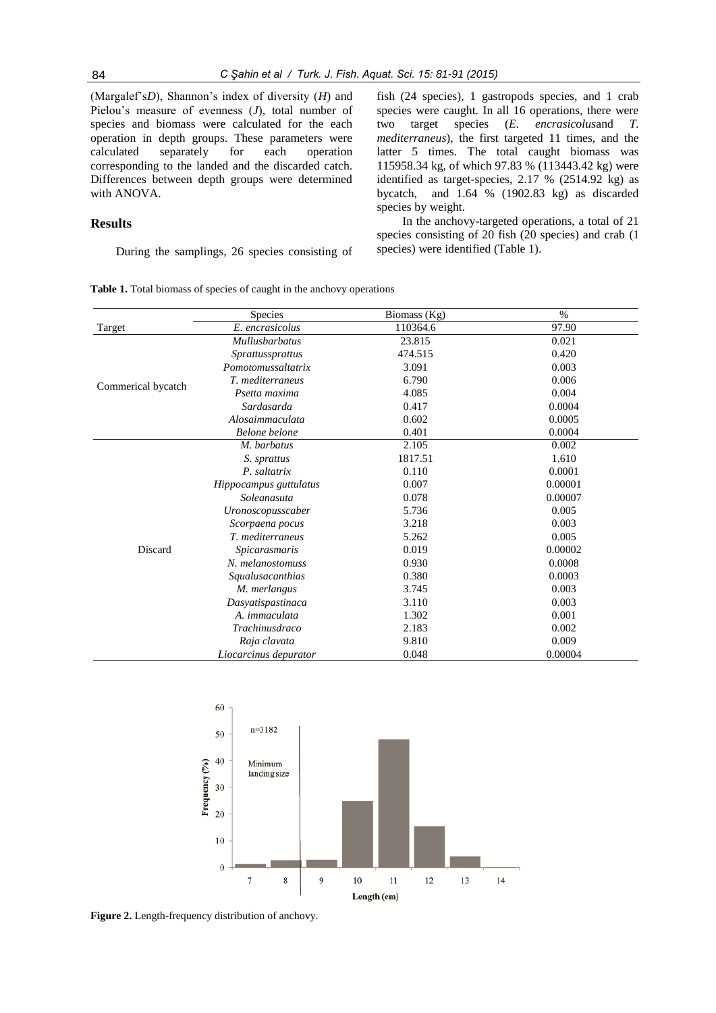(Margalef's*D*), Shannon's index of diversity (*H*) and Pielou's measure of evenness (*J*), total number of species and biomass were calculated for the each operation in depth groups. These parameters were calculated separately for each operation corresponding to the landed and the discarded catch. Differences between depth groups were determined with ANOVA.

# **Results**

During the samplings, 26 species consisting of

**Table 1.** Total biomass of species of caught in the anchovy operations

fish (24 species), 1 gastropods species, and 1 crab species were caught. In all 16 operations, there were two target species (*E. encrasicolus*and *T. mediterraneus*), the first targeted 11 times, and the latter 5 times. The total caught biomass was 115958.34 kg, of which 97.83 % (113443.42 kg) were identified as target-species, 2.17 % (2514.92 kg) as bycatch, and 1.64 % (1902.83 kg) as discarded species by weight.

In the anchovy-targeted operations, a total of 21 species consisting of 20 fish (20 species) and crab (1 species) were identified (Table 1).

|                    | <b>Species</b>         | Biomass (Kg) | $\%$    |
|--------------------|------------------------|--------------|---------|
| Target             | E. encrasicolus        | 110364.6     | 97.90   |
|                    | <b>Mullusbarbatus</b>  | 23.815       | 0.021   |
|                    | Sprattussprattus       | 474.515      | 0.420   |
|                    | Pomotomussaltatrix     | 3.091        | 0.003   |
|                    | T. mediterraneus       | 6.790        | 0.006   |
| Commerical bycatch | Psetta maxima          | 4.085        | 0.004   |
|                    | Sardasarda             | 0.417        | 0.0004  |
|                    | Alosaimmaculata        | 0.602        | 0.0005  |
|                    | Belone belone          | 0.401        | 0.0004  |
|                    | M. barbatus            | 2.105        | 0.002   |
|                    | S. sprattus            | 1817.51      | 1.610   |
|                    | P. saltatrix           | 0.110        | 0.0001  |
|                    | Hippocampus guttulatus | 0.007        | 0.00001 |
|                    | Soleanasuta            | 0.078        | 0.00007 |
|                    | Uronoscopusscaber      | 5.736        | 0.005   |
|                    | Scorpaena pocus        | 3.218        | 0.003   |
|                    | T. mediterraneus       | 5.262        | 0.005   |
| Discard            | Spicarasmaris          | 0.019        | 0.00002 |
|                    | N. melanostomuss       | 0.930        | 0.0008  |
|                    | Squalusacanthias       | 0.380        | 0.0003  |
|                    | M. merlangus           | 3.745        | 0.003   |
|                    | Dasyatispastinaca      | 3.110        | 0.003   |
|                    | A. <i>immaculata</i>   | 1.302        | 0.001   |
|                    | Trachinusdraco         | 2.183        | 0.002   |
|                    | Raja clavata           | 9.810        | 0.009   |
|                    | Liocarcinus depurator  | 0.048        | 0.00004 |



**Figure 2.** Length-frequency distribution of anchovy.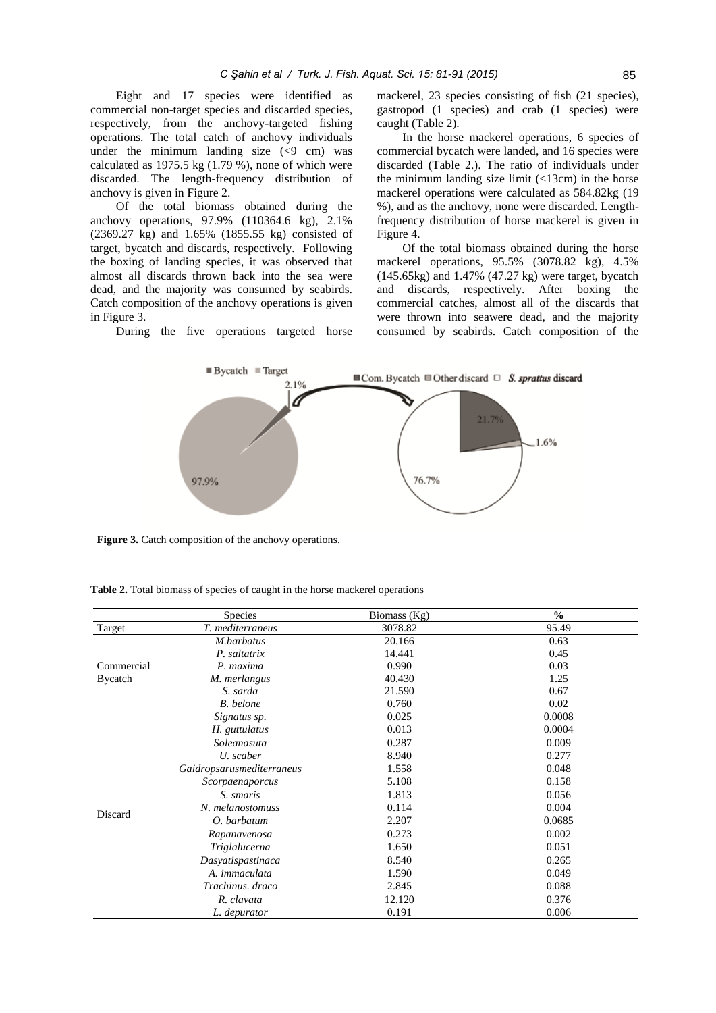Eight and 17 species were identified as commercial non-target species and discarded species, respectively, from the anchovy-targeted fishing operations. The total catch of anchovy individuals under the minimum landing size  $(\leq 9 \text{ cm})$  was calculated as  $1975.5 \text{ kg}$  (1.79 %), none of which were discarded. The length-frequency distribution of anchovy is given in Figure 2.

Of the total biomass obtained during the anchovy operations, 97.9% (110364.6 kg), 2.1% (2369.27 kg) and 1.65% (1855.55 kg) consisted of target, bycatch and discards, respectively. Following the boxing of landing species, it was observed that almost all discards thrown back into the sea were dead, and the majority was consumed by seabirds. Catch composition of the anchovy operations is given in Figure 3.

During the five operations targeted horse

mackerel, 23 species consisting of fish (21 species), gastropod (1 species) and crab (1 species) were caught (Table 2).

In the horse mackerel operations, 6 species of commercial bycatch were landed, and 16 species were discarded (Table 2.). The ratio of individuals under the minimum landing size limit  $\left($  <13cm) in the horse mackerel operations were calculated as 584.82kg (19 %), and as the anchovy, none were discarded. Lengthfrequency distribution of horse mackerel is given in Figure 4.

Of the total biomass obtained during the horse mackerel operations, 95.5% (3078.82 kg), 4.5% (145.65kg) and 1.47% (47.27 kg) were target, bycatch and discards, respectively. After boxing the commercial catches, almost all of the discards that were thrown into seawere dead, and the majority consumed by seabirds. Catch composition of the



**Figure 3.** Catch composition of the anchovy operations.

**Table 2.** Total biomass of species of caught in the horse mackerel operations

|                | Species                   | Biomass (Kg) | $\frac{0}{0}$ |
|----------------|---------------------------|--------------|---------------|
| Target         | T. mediterraneus          | 3078.82      | 95.49         |
|                | M.barbatus                | 20.166       | 0.63          |
|                | P. saltatrix              | 14.441       | 0.45          |
| Commercial     | P. maxima                 | 0.990        | 0.03          |
| <b>Bycatch</b> | M. merlangus              | 40.430       | 1.25          |
|                | S. sarda                  | 21.590       | 0.67          |
|                | B. belone                 | 0.760        | 0.02          |
|                | Signatus sp.              | 0.025        | 0.0008        |
|                | H. guttulatus             | 0.013        | 0.0004        |
|                | Soleanasuta               | 0.287        | 0.009         |
|                | U. scaber                 | 8.940        | 0.277         |
|                | Gaidropsarusmediterraneus | 1.558        | 0.048         |
|                | Scorpaenaporcus           | 5.108        | 0.158         |
|                | S. smaris                 | 1.813        | 0.056         |
|                | N. melanostomuss          | 0.114        | 0.004         |
| Discard        | O. barbatum               | 2.207        | 0.0685        |
|                | Rapanavenosa              | 0.273        | 0.002         |
|                | Triglalucerna             | 1.650        | 0.051         |
|                | Dasyatispastinaca         | 8.540        | 0.265         |
|                | A. immaculata             | 1.590        | 0.049         |
|                | Trachinus, draco          | 2.845        | 0.088         |
|                | R. clavata                | 12.120       | 0.376         |
|                | L. depurator              | 0.191        | 0.006         |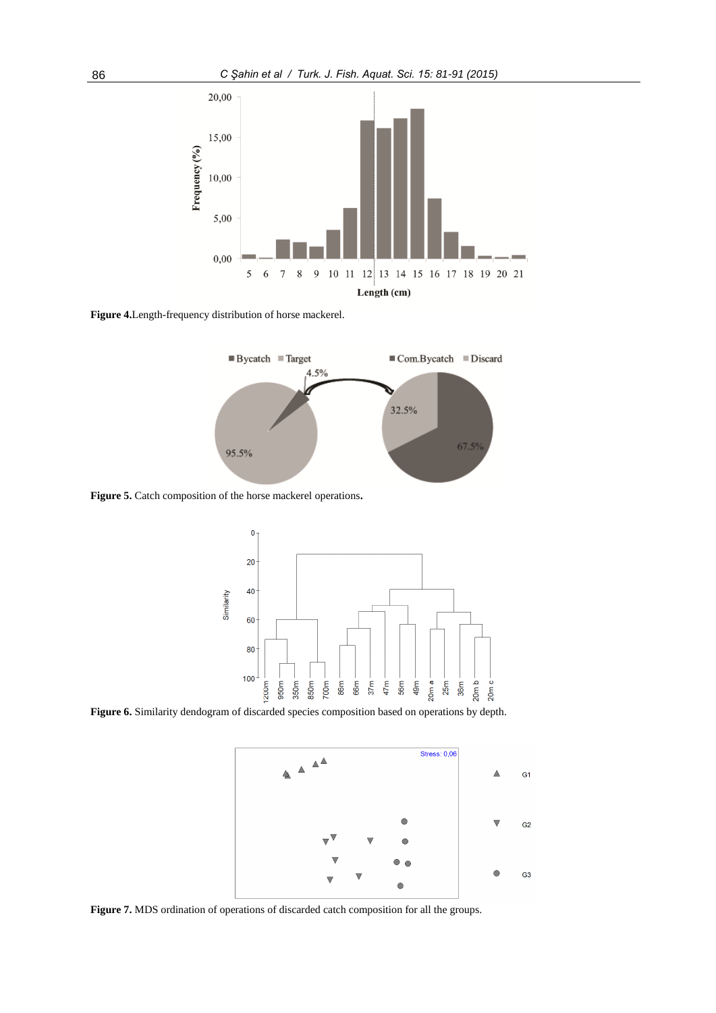

**Figure 4.**Length-frequency distribution of horse mackerel.



**Figure 5.** Catch composition of the horse mackerel operations**.**



**Figure 6.** Similarity dendogram of discarded species composition based on operations by depth.



**Figure 7.** MDS ordination of operations of discarded catch composition for all the groups.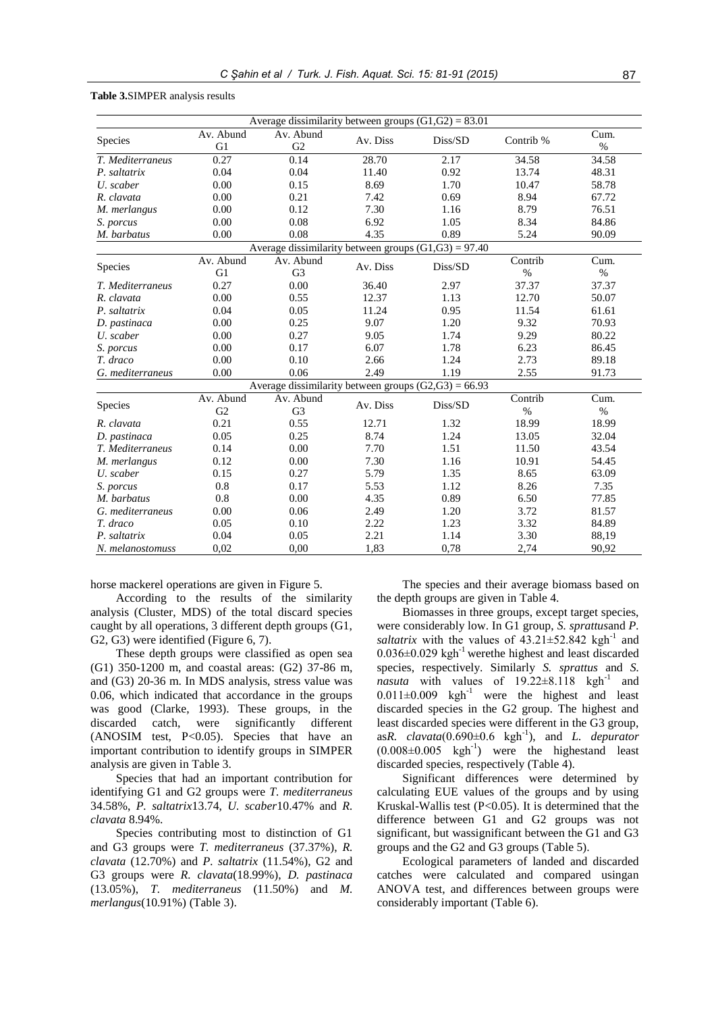| <b>Table 3.SIMPER</b> analysis results |  |  |
|----------------------------------------|--|--|
|----------------------------------------|--|--|

| Average dissimilarity between groups $(G1, G2) = 83.01$ |                 |                                                                   |          |         |                 |              |
|---------------------------------------------------------|-----------------|-------------------------------------------------------------------|----------|---------|-----------------|--------------|
| Species                                                 | Av. Abund<br>G1 | Av. Abund<br>G2                                                   | Av. Diss | Diss/SD | Contrib %       | Cum.<br>$\%$ |
| T. Mediterraneus                                        | 0.27            | 0.14                                                              | 28.70    | 2.17    | 34.58           | 34.58        |
| P. saltatrix                                            | 0.04            | 0.04                                                              | 11.40    | 0.92    | 13.74           | 48.31        |
| U. scaber                                               | 0.00            | 0.15                                                              | 8.69     | 1.70    | 10.47           | 58.78        |
| R. clavata                                              | 0.00            | 0.21                                                              | 7.42     | 0.69    | 8.94            | 67.72        |
| M. merlangus                                            | 0.00            | 0.12                                                              | 7.30     | 1.16    | 8.79            | 76.51        |
| S. porcus                                               | 0.00            | 0.08                                                              | 6.92     | 1.05    | 8.34            | 84.86        |
| M. barbatus                                             | 0.00            | 0.08                                                              | 4.35     | 0.89    | 5.24            | 90.09        |
|                                                         |                 | Average dissimilarity between groups $(G1,\overline{G3}) = 97.40$ |          |         |                 |              |
| Species                                                 | Av. Abund<br>G1 | Av. Abund<br>G <sub>3</sub>                                       | Av. Diss | Diss/SD | Contrib<br>$\%$ | Cum.<br>$\%$ |
| T. Mediterraneus                                        | 0.27            | 0.00                                                              | 36.40    | 2.97    | 37.37           | 37.37        |
| R. clavata                                              | 0.00            | 0.55                                                              | 12.37    | 1.13    | 12.70           | 50.07        |
| P. saltatrix                                            | 0.04            | 0.05                                                              | 11.24    | 0.95    | 11.54           | 61.61        |
| D. pastinaca                                            | 0.00            | 0.25                                                              | 9.07     | 1.20    | 9.32            | 70.93        |
| U. scaber                                               | 0.00            | 0.27                                                              | 9.05     | 1.74    | 9.29            | 80.22        |
| S. porcus                                               | 0.00            | 0.17                                                              | 6.07     | 1.78    | 6.23            | 86.45        |
| T. draco                                                | 0.00            | 0.10                                                              | 2.66     | 1.24    | 2.73            | 89.18        |
| G. mediterraneus                                        | 0.00            | 0.06                                                              | 2.49     | 1.19    | 2.55            | 91.73        |
|                                                         |                 | Average dissimilarity between groups $(G2, G3) = 66.93$           |          |         |                 |              |
| Species                                                 | Av. Abund<br>G2 | Av. Abund<br>G <sub>3</sub>                                       | Av. Diss | Diss/SD | Contrib<br>$\%$ | Cum.<br>$\%$ |
| R. clavata                                              | 0.21            | 0.55                                                              | 12.71    | 1.32    | 18.99           | 18.99        |
| D. pastinaca                                            | 0.05            | 0.25                                                              | 8.74     | 1.24    | 13.05           | 32.04        |
| T. Mediterraneus                                        | 0.14            | 0.00                                                              | 7.70     | 1.51    | 11.50           | 43.54        |
| M. merlangus                                            | 0.12            | 0.00                                                              | 7.30     | 1.16    | 10.91           | 54.45        |
| U. scaber                                               | 0.15            | 0.27                                                              | 5.79     | 1.35    | 8.65            | 63.09        |
| S. porcus                                               | 0.8             | 0.17                                                              | 5.53     | 1.12    | 8.26            | 7.35         |
| M. barbatus                                             | 0.8             | 0.00                                                              | 4.35     | 0.89    | 6.50            | 77.85        |
| G. mediterraneus                                        | 0.00            | 0.06                                                              | 2.49     | 1.20    | 3.72            | 81.57        |
| T. draco                                                | 0.05            | 0.10                                                              | 2.22     | 1.23    | 3.32            | 84.89        |
| P. saltatrix                                            | 0.04            | 0.05                                                              | 2.21     | 1.14    | 3.30            | 88,19        |
| N. melanostomuss                                        | 0,02            | 0,00                                                              | 1,83     | 0,78    | 2,74            | 90,92        |

horse mackerel operations are given in Figure 5.

According to the results of the similarity analysis (Cluster, MDS) of the total discard species caught by all operations, 3 different depth groups (G1, G2, G3) were identified (Figure 6, 7).

These depth groups were classified as open sea (G1) 350-1200 m, and coastal areas: (G2) 37-86 m, and (G3) 20-36 m. In MDS analysis, stress value was 0.06, which indicated that accordance in the groups was good (Clarke, 1993). These groups, in the discarded catch, were significantly different (ANOSIM test, P<0.05). Species that have an important contribution to identify groups in SIMPER analysis are given in Table 3.

Species that had an important contribution for identifying G1 and G2 groups were *T. mediterraneus* 34.58%, *P. saltatrix*13.74, *U. scaber*10.47% and *R. clavata* 8.94%.

Species contributing most to distinction of G1 and G3 groups were *T. mediterraneus* (37.37%), *R. clavata* (12.70%) and *P. saltatrix* (11.54%), G2 and G3 groups were *R. clavata*(18.99%), *D. pastinaca* (13.05%), *T. mediterraneus* (11.50%) and *M. merlangus*(10.91%) (Table 3).

The species and their average biomass based on the depth groups are given in Table 4.

Biomasses in three groups, except target species, were considerably low. In G1 group, *S. sprattus*and *P.*  saltatrix with the values of  $43.21 \pm 52.842$  kgh<sup>-1</sup> and  $0.036\pm0.029$  kgh<sup>-1</sup> werethe highest and least discarded species, respectively. Similarly *S. sprattus* and *S.*   $n$ *asuta* with values of  $19.22 \pm 8.118$  kgh<sup>-1</sup> and  $0.011\pm0.009$  kgh<sup>-1</sup> were the highest and least discarded species in the G2 group. The highest and least discarded species were different in the G3 group, as*R. clavata*( $0.690\pm0.6$  kgh<sup>-1</sup>), and *L. depurator*  $(0.008 \pm 0.005 \text{ kgh}^{-1})$  were the highestand least discarded species, respectively (Table 4).

Significant differences were determined by calculating EUE values of the groups and by using Kruskal-Wallis test  $(P<0.05)$ . It is determined that the difference between G1 and G2 groups was not significant, but wassignificant between the G1 and G3 groups and the G2 and G3 groups (Table 5).

Ecological parameters of landed and discarded catches were calculated and compared usingan ANOVA test, and differences between groups were considerably important (Table 6).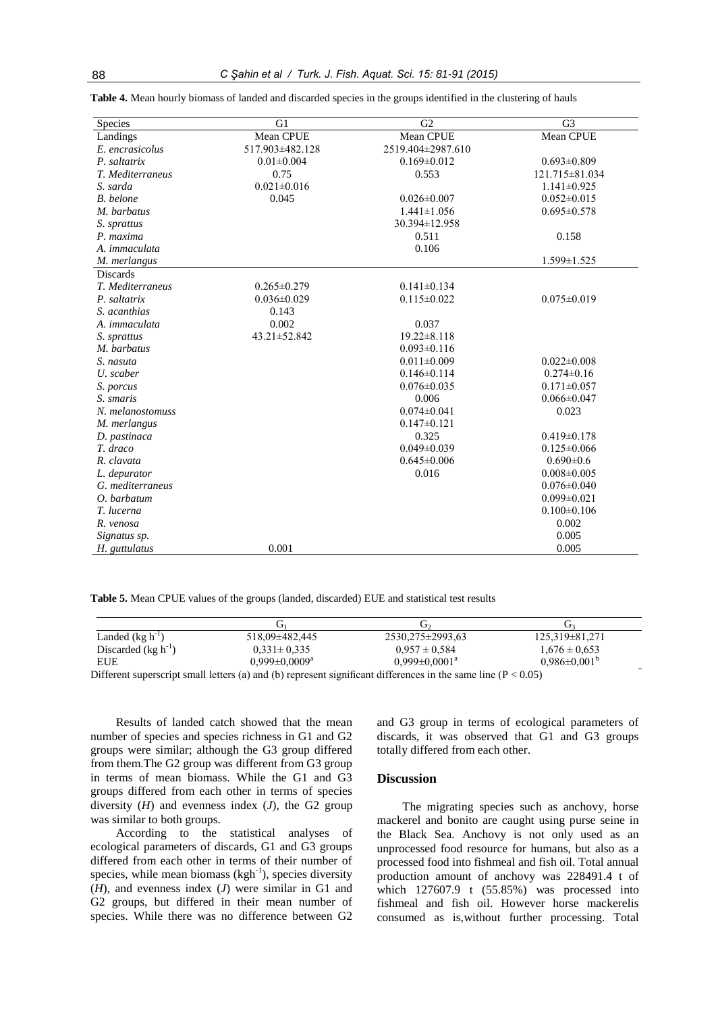| Species              | G1                | G <sub>2</sub>    | G <sub>3</sub>    |
|----------------------|-------------------|-------------------|-------------------|
| Landings             | Mean CPUE         | Mean CPUE         | Mean CPUE         |
| E. encrasicolus      | 517.903±482.128   | 2519.404±2987.610 |                   |
| P. saltatrix         | $0.01 \pm 0.004$  | $0.169 \pm 0.012$ | $0.693 \pm 0.809$ |
| T. Mediterraneus     | 0.75              | 0.553             | 121.715±81.034    |
| S. sarda             | $0.021 \pm 0.016$ |                   | $1.141 \pm 0.925$ |
| B. belone            | 0.045             | $0.026 \pm 0.007$ | $0.052 \pm 0.015$ |
| M. barbatus          |                   | $1.441 \pm 1.056$ | $0.695 \pm 0.578$ |
| S. sprattus          |                   | 30.394±12.958     |                   |
| P. maxima            |                   | 0.511             | 0.158             |
| A. <i>immaculata</i> |                   | 0.106             |                   |
| M. merlangus         |                   |                   | 1.599±1.525       |
| <b>Discards</b>      |                   |                   |                   |
| T. Mediterraneus     | $0.265 \pm 0.279$ | $0.141 \pm 0.134$ |                   |
| P. saltatrix         | $0.036 \pm 0.029$ | $0.115 \pm 0.022$ | $0.075 \pm 0.019$ |
| S. acanthias         | 0.143             |                   |                   |
| A. immaculata        | 0.002             | 0.037             |                   |
| S. sprattus          | 43.21±52.842      | $19.22 \pm 8.118$ |                   |
| M. barbatus          |                   | $0.093 \pm 0.116$ |                   |
| S. nasuta            |                   | $0.011 \pm 0.009$ | $0.022 \pm 0.008$ |
| U. scaber            |                   | $0.146 \pm 0.114$ | $0.274 \pm 0.16$  |
| S. porcus            |                   | $0.076 \pm 0.035$ | $0.171 \pm 0.057$ |
| S. smaris            |                   | 0.006             | $0.066 \pm 0.047$ |
| N. melanostomuss     |                   | $0.074 \pm 0.041$ | 0.023             |
| M. merlangus         |                   | $0.147 \pm 0.121$ |                   |
| D. pastinaca         |                   | 0.325             | $0.419 \pm 0.178$ |
| T. draco             |                   | $0.049 \pm 0.039$ | $0.125 \pm 0.066$ |
| R. clavata           |                   | $0.645\pm0.006$   | $0.690 \pm 0.6$   |
| L. depurator         |                   | 0.016             | $0.008 \pm 0.005$ |
| G. mediterraneus     |                   |                   | $0.076 \pm 0.040$ |
| O. barbatum          |                   |                   | $0.099 \pm 0.021$ |
| T. lucerna           |                   |                   | $0.100 \pm 0.106$ |
| R. venosa            |                   |                   | 0.002             |
| Signatus sp.         |                   |                   | 0.005             |
| H. guttulatus        | 0.001             |                   | 0.005             |

**Table 4.** Mean hourly biomass of landed and discarded species in the groups identified in the clustering of hauls

**Table 5.** Mean CPUE values of the groups (landed, discarded) EUE and statistical test results

| Landed $(kg h-1)$                                                                                                 | 518,09±482,445                  | 2530,275 ± 2993,63            | $125,319\pm81,271$        |
|-------------------------------------------------------------------------------------------------------------------|---------------------------------|-------------------------------|---------------------------|
| Discarded $(kg h^{-1})$                                                                                           | $0.331 \pm 0.335$               | $0.957 \pm 0.584$             | $1,676 \pm 0,653$         |
| EUE                                                                                                               | $0.999 \pm 0.0009^{\mathrm{a}}$ | $0.999 \pm 0.0001^{\text{a}}$ | $0.986 \pm 0.001^{\circ}$ |
| Different superscript small letters (a) and (b) represent significant differences in the same line ( $P < 0.05$ ) |                                 |                               |                           |

Results of landed catch showed that the mean number of species and species richness in G1 and G2 groups were similar; although the G3 group differed from them.The G2 group was different from G3 group in terms of mean biomass. While the G1 and G3 groups differed from each other in terms of species diversity (*H*) and evenness index (*J*), the G2 group was similar to both groups.

According to the statistical analyses of ecological parameters of discards, G1 and G3 groups differed from each other in terms of their number of species, while mean biomass  $(kgh<sup>-1</sup>)$ , species diversity (*H*), and evenness index (*J*) were similar in G1 and G2 groups, but differed in their mean number of species. While there was no difference between G2

and G3 group in terms of ecological parameters of discards, it was observed that G1 and G3 groups totally differed from each other.

#### **Discussion**

The migrating species such as anchovy, horse mackerel and bonito are caught using purse seine in the Black Sea. Anchovy is not only used as an unprocessed food resource for humans, but also as a processed food into fishmeal and fish oil. Total annual production amount of anchovy was 228491.4 t of which 127607.9 t (55.85%) was processed into fishmeal and fish oil. However horse mackerelis consumed as is,without further processing. Total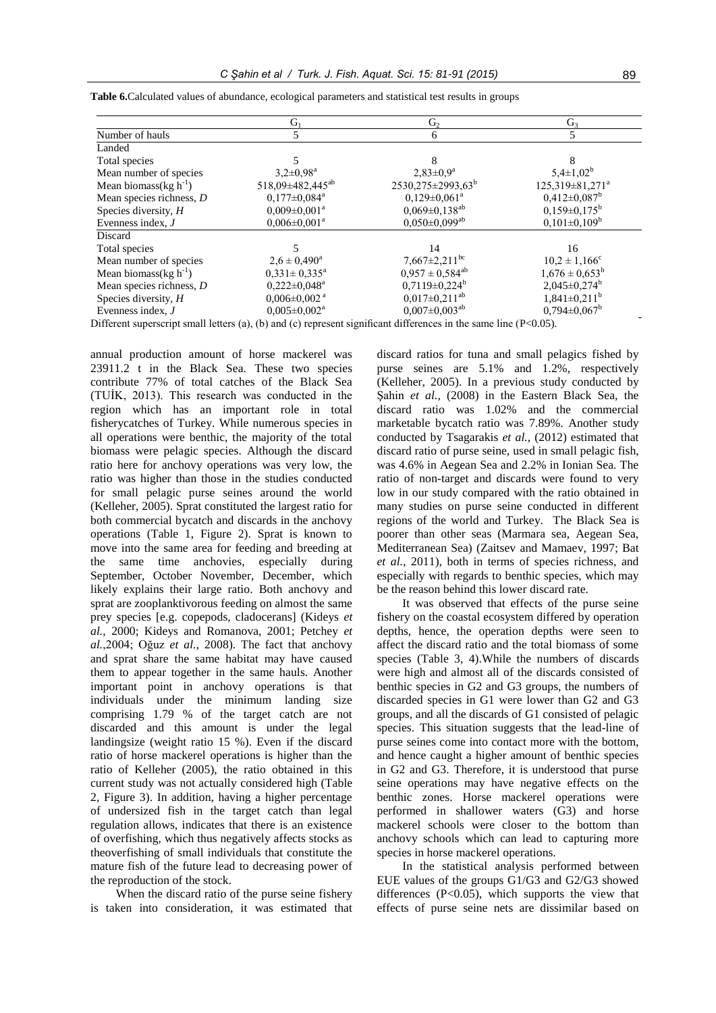|                             | $G_1$                          | G <sub>2</sub>                                            | G <sub>3</sub>                    |
|-----------------------------|--------------------------------|-----------------------------------------------------------|-----------------------------------|
| Number of hauls             |                                | 6                                                         |                                   |
| Landed                      |                                |                                                           |                                   |
| Total species               |                                | 8                                                         | 8                                 |
| Mean number of species      | $3.2 \pm 0.98^a$               | $2,83\pm0.9^a$                                            | $5,4\pm1,02^b$                    |
| Mean biomass( $kg h^{-1}$ ) | 518,09±482,445 <sup>ab</sup>   | 2530,275±2993,63 <sup>b</sup>                             | $125,319 \pm 81,271$ <sup>a</sup> |
| Mean species richness, D    | $0,177 \pm 0,084$ <sup>a</sup> | $0,129 \pm 0,061$ <sup>a</sup>                            | $0,412\pm0,087$ <sup>b</sup>      |
| Species diversity, H        | $0,009 \pm 0,001^a$            | $0,069 \pm 0,138^{ab}$                                    | $0,159\pm0,175^{\rm b}$           |
| Evenness index, J           | $0,006 \pm 0,001^a$            | $0,050 \pm 0,099$ <sup>ab</sup>                           | $0,101\pm0,109^b$                 |
| Discard                     |                                |                                                           |                                   |
| Total species               |                                | 14                                                        | 16                                |
| Mean number of species      | $2.6 \pm 0.490^{\circ}$        | $7,667 \pm 2,211$ <sup>bc</sup>                           | $10.2 \pm 1.166^{\circ}$          |
| Mean biomass( $kg h^{-1}$ ) | $0,331 \pm 0,335^a$            | $0.957 \pm 0.584^{ab}$                                    | $1,676 \pm 0,653^b$               |
| Mean species richness, $D$  | $0,222 \pm 0,048^a$            | $0,7119 \pm 0,224$ <sup>b</sup>                           | $2,045\pm0,274^{\rm b}$           |
| Species diversity, $H$      | $0,006 \pm 0,002$ <sup>a</sup> | $0,017\pm0,211^{ab}$                                      | $1,841 \pm 0,211$ <sup>b</sup>    |
| Evenness index, $J$         | $0.005 \pm 0.002^a$            | $0.007 \pm 0.003^{ab}$<br>$Diff_{current}$ and $(D, 0.5)$ | $0.794 \pm 0.067^b$               |

**Table 6.**Calculated values of abundance, ecological parameters and statistical test results in groups

Different superscript small letters (a), (b) and (c) represent significant differences in the same line (P<0.05).

annual production amount of horse mackerel was 23911.2 t in the Black Sea. These two species contribute 77% of total catches of the Black Sea (TUİK, 2013). This research was conducted in the region which has an important role in total fisherycatches of Turkey. While numerous species in all operations were benthic, the majority of the total biomass were pelagic species. Although the discard ratio here for anchovy operations was very low, the ratio was higher than those in the studies conducted for small pelagic purse seines around the world (Kelleher, 2005). Sprat constituted the largest ratio for both commercial bycatch and discards in the anchovy operations (Table 1, Figure 2). Sprat is known to move into the same area for feeding and breeding at the same time anchovies, especially during September, October November, December, which likely explains their large ratio. Both anchovy and sprat are zooplanktivorous feeding on almost the same prey species [e.g. copepods, cladocerans] (Kideys *et al.*, 2000; Kideys and Romanova, 2001; Petchey *et al.*,2004; Oğuz *et al.*, 2008). The fact that anchovy and sprat share the same habitat may have caused them to appear together in the same hauls. Another important point in anchovy operations is that individuals under the minimum landing size comprising 1.79 % of the target catch are not discarded and this amount is under the legal landingsize (weight ratio 15 %). Even if the discard ratio of horse mackerel operations is higher than the ratio of Kelleher (2005), the ratio obtained in this current study was not actually considered high (Table 2, Figure 3). In addition, having a higher percentage of undersized fish in the target catch than legal regulation allows, indicates that there is an existence of overfishing, which thus negatively affects stocks as theoverfishing of small individuals that constitute the mature fish of the future lead to decreasing power of the reproduction of the stock.

When the discard ratio of the purse seine fishery is taken into consideration, it was estimated that

discard ratios for tuna and small pelagics fished by purse seines are 5.1% and 1.2%, respectively (Kelleher, 2005). In a previous study conducted by Sahin *et al.*, (2008) in the Eastern Black Sea, the discard ratio was 1.02% and the commercial marketable bycatch ratio was 7.89%. Another study conducted by Tsagarakis *et al.*, (2012) estimated that discard ratio of purse seine, used in small pelagic fish, was 4.6% in Aegean Sea and 2.2% in Ionian Sea. The ratio of non-target and discards were found to very low in our study compared with the ratio obtained in many studies on purse seine conducted in different regions of the world and Turkey. The Black Sea is poorer than other seas (Marmara sea, Aegean Sea, Mediterranean Sea) (Zaitsev and Mamaev, 1997; Bat *et al.*, 2011), both in terms of species richness, and especially with regards to benthic species, which may be the reason behind this lower discard rate.

It was observed that effects of the purse seine fishery on the coastal ecosystem differed by operation depths, hence, the operation depths were seen to affect the discard ratio and the total biomass of some species (Table 3, 4).While the numbers of discards were high and almost all of the discards consisted of benthic species in G2 and G3 groups, the numbers of discarded species in G1 were lower than G2 and G3 groups, and all the discards of G1 consisted of pelagic species. This situation suggests that the lead-line of purse seines come into contact more with the bottom, and hence caught a higher amount of benthic species in G2 and G3. Therefore, it is understood that purse seine operations may have negative effects on the benthic zones. Horse mackerel operations were performed in shallower waters (G3) and horse mackerel schools were closer to the bottom than anchovy schools which can lead to capturing more species in horse mackerel operations.

In the statistical analysis performed between EUE values of the groups G1/G3 and G2/G3 showed differences  $(P<0.05)$ , which supports the view that effects of purse seine nets are dissimilar based on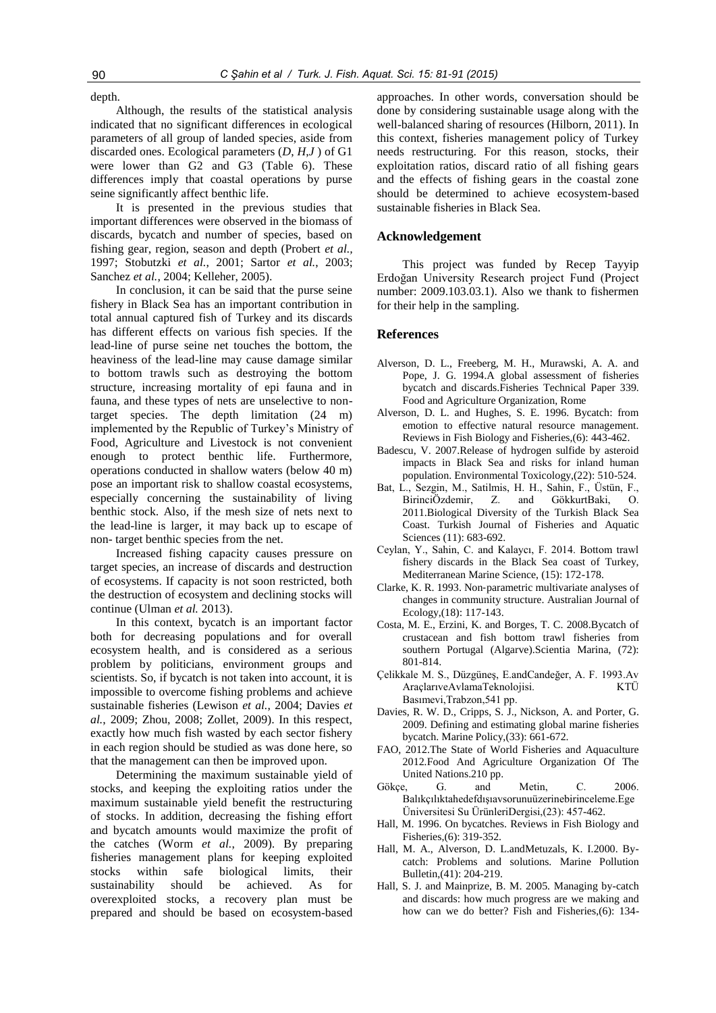depth.

Although, the results of the statistical analysis indicated that no significant differences in ecological parameters of all group of landed species, aside from discarded ones. Ecological parameters (*D*, *H*,*J* ) of G1 were lower than G2 and G3 (Table 6). These differences imply that coastal operations by purse seine significantly affect benthic life.

It is presented in the previous studies that important differences were observed in the biomass of discards, bycatch and number of species, based on fishing gear, region, season and depth (Probert *et al.,* 1997; Stobutzki *et al.*, 2001; Sartor *et al.*, 2003; Sanchez *et al.*, 2004; Kelleher, 2005).

In conclusion, it can be said that the purse seine fishery in Black Sea has an important contribution in total annual captured fish of Turkey and its discards has different effects on various fish species. If the lead-line of purse seine net touches the bottom, the heaviness of the lead-line may cause damage similar to bottom trawls such as destroying the bottom structure, increasing mortality of epi fauna and in fauna, and these types of nets are unselective to nontarget species. The depth limitation (24 m) implemented by the Republic of Turkey's Ministry of Food, Agriculture and Livestock is not convenient enough to protect benthic life. Furthermore, operations conducted in shallow waters (below 40 m) pose an important risk to shallow coastal ecosystems, especially concerning the sustainability of living benthic stock. Also, if the mesh size of nets next to the lead-line is larger, it may back up to escape of non- target benthic species from the net.

Increased fishing capacity causes pressure on target species, an increase of discards and destruction of ecosystems. If capacity is not soon restricted, both the destruction of ecosystem and declining stocks will continue (Ulman *et al.* 2013).

In this context, bycatch is an important factor both for decreasing populations and for overall ecosystem health, and is considered as a serious problem by politicians, environment groups and scientists. So, if bycatch is not taken into account, it is impossible to overcome fishing problems and achieve sustainable fisheries (Lewison *et al.*, 2004; Davies *et al.*, 2009; Zhou, 2008; Zollet, 2009). In this respect, exactly how much fish wasted by each sector fishery in each region should be studied as was done here, so that the management can then be improved upon.

Determining the maximum sustainable yield of stocks, and keeping the exploiting ratios under the maximum sustainable yield benefit the restructuring of stocks. In addition, decreasing the fishing effort and bycatch amounts would maximize the profit of the catches (Worm *et al.*, 2009). By preparing fisheries management plans for keeping exploited stocks within safe biological limits, their sustainability should be achieved. As for overexploited stocks, a recovery plan must be prepared and should be based on ecosystem-based approaches. In other words, conversation should be done by considering sustainable usage along with the well-balanced sharing of resources (Hilborn, 2011). In this context, fisheries management policy of Turkey needs restructuring. For this reason, stocks, their exploitation ratios, discard ratio of all fishing gears and the effects of fishing gears in the coastal zone should be determined to achieve ecosystem-based sustainable fisheries in Black Sea.

### **Acknowledgement**

This project was funded by Recep Tayyip Erdoğan University Research project Fund (Project number: 2009.103.03.1). Also we thank to fishermen for their help in the sampling.

## **References**

- Alverson, D. L., Freeberg, M. H., Murawski, A. A. and Pope, J. G. 1994.A global assessment of fisheries bycatch and discards.Fisheries Technical Paper 339. Food and Agriculture Organization, Rome
- Alverson, D. L. and Hughes, S. E. 1996. Bycatch: from emotion to effective natural resource management. Reviews in Fish Biology and Fisheries,(6): 443-462.
- Badescu, V. 2007.Release of hydrogen sulfide by asteroid impacts in Black Sea and risks for inland human population. Environmental Toxicology,(22): 510-524.
- Bat, L., Sezgin, M., Satilmis, H. H., Sahin, F., Üstün, F., BirinciÖzdemir, Z. and GökkurtBaki, O. 2011.Biological Diversity of the Turkish Black Sea Coast. Turkish Journal of Fisheries and Aquatic Sciences (11): 683-692.
- Ceylan, Y., Sahin, C. and Kalaycı, F. 2014. Bottom trawl fishery discards in the Black Sea coast of Turkey, Mediterranean Marine Science, (15): 172-178.
- Clarke, K. R. 1993. Non‐parametric multivariate analyses of changes in community structure. Australian Journal of Ecology,(18): 117-143.
- Costa, M. E., Erzini, K. and Borges, T. C. 2008.Bycatch of crustacean and fish bottom trawl fisheries from southern Portugal (Algarve).Scientia Marina, (72): 801-814.
- Çelikkale M. S., Düzgüneş, E.andCandeğer, A. F. 1993.Av AraçlarıveAvlamaTeknolojisi. KTÜ Basımevi,Trabzon,541 pp.
- Davies, R. W. D., Cripps, S. J., Nickson, A. and Porter, G. 2009. Defining and estimating global marine fisheries bycatch. Marine Policy,(33): 661-672.
- FAO, 2012.The State of World Fisheries and Aquaculture 2012*.*Food And Agriculture Organization Of The United Nations.210 pp.
- Gökçe, G. and Metin, C. 2006. Balıkçılıktahedefdışıavsorunuüzerinebirinceleme.Ege Üniversitesi Su ÜrünleriDergisi,(23): 457-462.
- Hall, M. 1996. On bycatches. Reviews in Fish Biology and Fisheries,(6): 319-352.
- Hall, M. A., Alverson, D. L.andMetuzals, K. I.2000. Bycatch: Problems and solutions. Marine Pollution Bulletin,(41): 204-219.
- Hall, S. J. and Mainprize, B. M. 2005. Managing by-catch and discards: how much progress are we making and how can we do better? Fish and Fisheries,(6): 134-